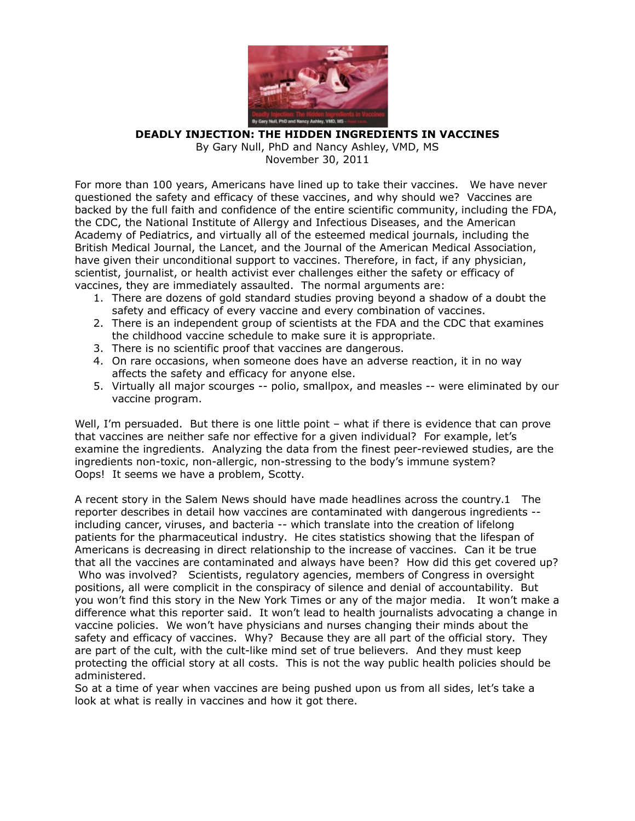

**DEADLY INJECTION: THE HIDDEN INGREDIENTS IN VACCINES**

By Gary Null, PhD and Nancy Ashley, VMD, MS November 30, 2011

For more than 100 years, Americans have lined up to take their vaccines. We have never questioned the safety and efficacy of these vaccines, and why should we? Vaccines are backed by the full faith and confidence of the entire scientific community, including the FDA, the CDC, the National Institute of Allergy and Infectious Diseases, and the American Academy of Pediatrics, and virtually all of the esteemed medical journals, including the British Medical Journal, the Lancet, and the Journal of the American Medical Association, have given their unconditional support to vaccines. Therefore, in fact, if any physician, scientist, journalist, or health activist ever challenges either the safety or efficacy of vaccines, they are immediately assaulted. The normal arguments are:

- 1. There are dozens of gold standard studies proving beyond a shadow of a doubt the safety and efficacy of every vaccine and every combination of vaccines.
- 2. There is an independent group of scientists at the FDA and the CDC that examines the childhood vaccine schedule to make sure it is appropriate.
- 3. There is no scientific proof that vaccines are dangerous.
- 4. On rare occasions, when someone does have an adverse reaction, it in no way affects the safety and efficacy for anyone else.
- 5. Virtually all major scourges -- polio, smallpox, and measles -- were eliminated by our vaccine program.

Well, I'm persuaded. But there is one little point – what if there is evidence that can prove that vaccines are neither safe nor effective for a given individual? For example, let's examine the ingredients. Analyzing the data from the finest peer-reviewed studies, are the ingredients non-toxic, non-allergic, non-stressing to the body's immune system? Oops! It seems we have a problem, Scotty.

A recent story in the Salem News should have made headlines across the country.1 The reporter describes in detail how vaccines are contaminated with dangerous ingredients - including cancer, viruses, and bacteria -- which translate into the creation of lifelong patients for the pharmaceutical industry. He cites statistics showing that the lifespan of Americans is decreasing in direct relationship to the increase of vaccines. Can it be true that all the vaccines are contaminated and always have been? How did this get covered up? Who was involved? Scientists, regulatory agencies, members of Congress in oversight positions, all were complicit in the conspiracy of silence and denial of accountability. But you won't find this story in the New York Times or any of the major media. It won't make a difference what this reporter said. It won't lead to health journalists advocating a change in vaccine policies. We won't have physicians and nurses changing their minds about the safety and efficacy of vaccines. Why? Because they are all part of the official story. They are part of the cult, with the cult-like mind set of true believers. And they must keep protecting the official story at all costs. This is not the way public health policies should be administered.

So at a time of year when vaccines are being pushed upon us from all sides, let's take a look at what is really in vaccines and how it got there.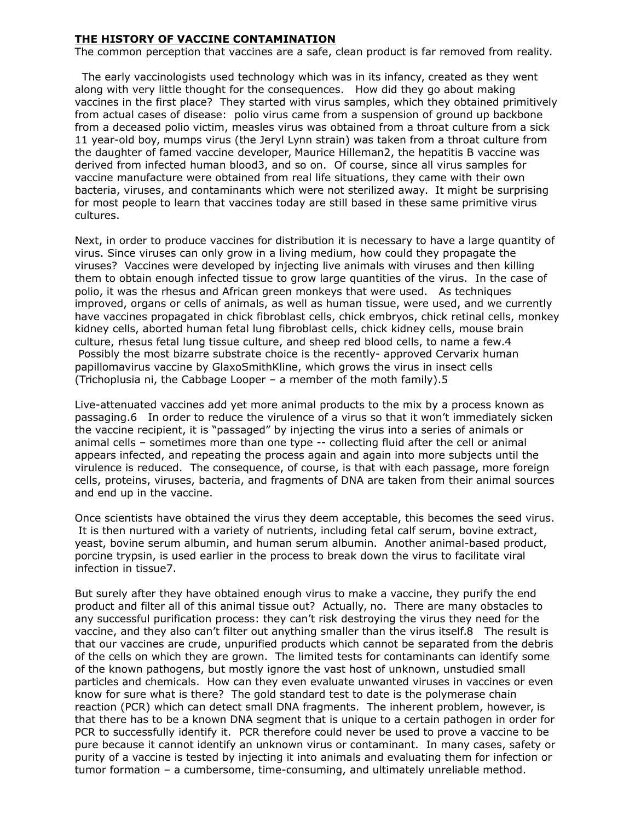## **THE HISTORY OF VACCINE CONTAMINATION**

The common perception that vaccines are a safe, clean product is far removed from reality.

The early vaccinologists used technology which was in its infancy, created as they went along with very little thought for the consequences. How did they go about making vaccines in the first place? They started with virus samples, which they obtained primitively from actual cases of disease: polio virus came from a suspension of ground up backbone from a deceased polio victim, measles virus was obtained from a throat culture from a sick 11 year-old boy, mumps virus (the Jeryl Lynn strain) was taken from a throat culture from the daughter of famed vaccine developer, Maurice Hilleman2, the hepatitis B vaccine was derived from infected human blood3, and so on. Of course, since all virus samples for vaccine manufacture were obtained from real life situations, they came with their own bacteria, viruses, and contaminants which were not sterilized away. It might be surprising for most people to learn that vaccines today are still based in these same primitive virus cultures.

Next, in order to produce vaccines for distribution it is necessary to have a large quantity of virus. Since viruses can only grow in a living medium, how could they propagate the viruses? Vaccines were developed by injecting live animals with viruses and then killing them to obtain enough infected tissue to grow large quantities of the virus. In the case of polio, it was the rhesus and African green monkeys that were used. As techniques improved, organs or cells of animals, as well as human tissue, were used, and we currently have vaccines propagated in chick fibroblast cells, chick embryos, chick retinal cells, monkey kidney cells, aborted human fetal lung fibroblast cells, chick kidney cells, mouse brain culture, rhesus fetal lung tissue culture, and sheep red blood cells, to name a few.4 Possibly the most bizarre substrate choice is the recently- approved Cervarix human papillomavirus vaccine by GlaxoSmithKline, which grows the virus in insect cells (Trichoplusia ni, the Cabbage Looper – a member of the moth family).5

Live-attenuated vaccines add yet more animal products to the mix by a process known as passaging.6 In order to reduce the virulence of a virus so that it won't immediately sicken the vaccine recipient, it is "passaged" by injecting the virus into a series of animals or animal cells – sometimes more than one type -- collecting fluid after the cell or animal appears infected, and repeating the process again and again into more subjects until the virulence is reduced. The consequence, of course, is that with each passage, more foreign cells, proteins, viruses, bacteria, and fragments of DNA are taken from their animal sources and end up in the vaccine.

Once scientists have obtained the virus they deem acceptable, this becomes the seed virus. It is then nurtured with a variety of nutrients, including fetal calf serum, bovine extract, yeast, bovine serum albumin, and human serum albumin. Another animal-based product, porcine trypsin, is used earlier in the process to break down the virus to facilitate viral infection in tissue7.

But surely after they have obtained enough virus to make a vaccine, they purify the end product and filter all of this animal tissue out? Actually, no. There are many obstacles to any successful purification process: they can't risk destroying the virus they need for the vaccine, and they also can't filter out anything smaller than the virus itself.8 The result is that our vaccines are crude, unpurified products which cannot be separated from the debris of the cells on which they are grown. The limited tests for contaminants can identify some of the known pathogens, but mostly ignore the vast host of unknown, unstudied small particles and chemicals. How can they even evaluate unwanted viruses in vaccines or even know for sure what is there? The gold standard test to date is the polymerase chain reaction (PCR) which can detect small DNA fragments. The inherent problem, however, is that there has to be a known DNA segment that is unique to a certain pathogen in order for PCR to successfully identify it. PCR therefore could never be used to prove a vaccine to be pure because it cannot identify an unknown virus or contaminant. In many cases, safety or purity of a vaccine is tested by injecting it into animals and evaluating them for infection or tumor formation – a cumbersome, time-consuming, and ultimately unreliable method.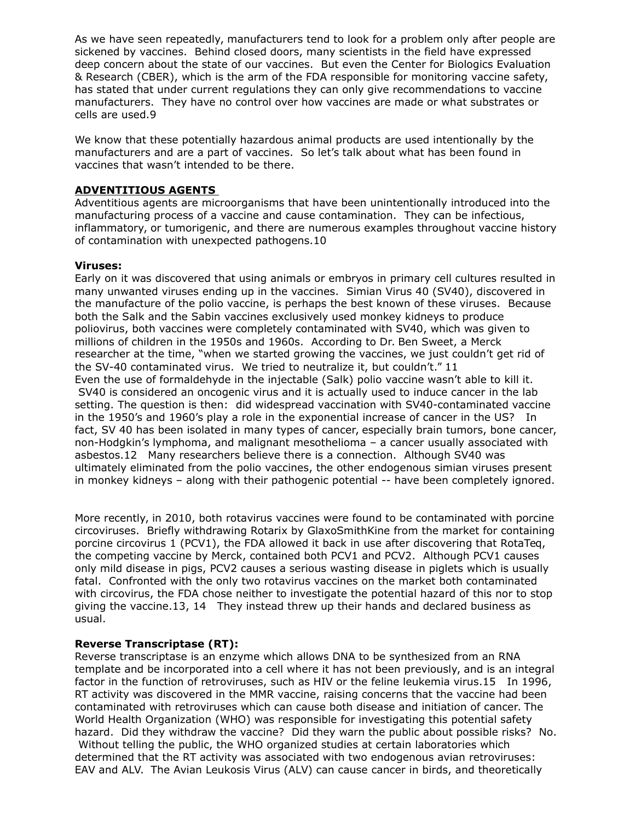As we have seen repeatedly, manufacturers tend to look for a problem only after people are sickened by vaccines. Behind closed doors, many scientists in the field have expressed deep concern about the state of our vaccines. But even the Center for Biologics Evaluation & Research (CBER), which is the arm of the FDA responsible for monitoring vaccine safety, has stated that under current regulations they can only give recommendations to vaccine manufacturers. They have no control over how vaccines are made or what substrates or cells are used.9

We know that these potentially hazardous animal products are used intentionally by the manufacturers and are a part of vaccines. So let's talk about what has been found in vaccines that wasn't intended to be there.

# **ADVENTITIOUS AGENTS**

Adventitious agents are microorganisms that have been unintentionally introduced into the manufacturing process of a vaccine and cause contamination. They can be infectious, inflammatory, or tumorigenic, and there are numerous examples throughout vaccine history of contamination with unexpected pathogens.10

### **Viruses:**

Early on it was discovered that using animals or embryos in primary cell cultures resulted in many unwanted viruses ending up in the vaccines. Simian Virus 40 (SV40), discovered in the manufacture of the polio vaccine, is perhaps the best known of these viruses. Because both the Salk and the Sabin vaccines exclusively used monkey kidneys to produce poliovirus, both vaccines were completely contaminated with SV40, which was given to millions of children in the 1950s and 1960s. According to Dr. Ben Sweet, a Merck researcher at the time, "when we started growing the vaccines, we just couldn't get rid of the SV-40 contaminated virus. We tried to neutralize it, but couldn't." 11 Even the use of formaldehyde in the injectable (Salk) polio vaccine wasn't able to kill it. SV40 is considered an oncogenic virus and it is actually used to induce cancer in the lab setting. The question is then: did widespread vaccination with SV40-contaminated vaccine in the 1950's and 1960's play a role in the exponential increase of cancer in the US? In fact, SV 40 has been isolated in many types of cancer, especially brain tumors, bone cancer, non-Hodgkin's lymphoma, and malignant mesothelioma – a cancer usually associated with asbestos.12 Many researchers believe there is a connection. Although SV40 was ultimately eliminated from the polio vaccines, the other endogenous simian viruses present in monkey kidneys – along with their pathogenic potential -- have been completely ignored.

More recently, in 2010, both rotavirus vaccines were found to be contaminated with porcine circoviruses. Briefly withdrawing Rotarix by GlaxoSmithKine from the market for containing porcine circovirus 1 (PCV1), the FDA allowed it back in use after discovering that RotaTeq, the competing vaccine by Merck, contained both PCV1 and PCV2. Although PCV1 causes only mild disease in pigs, PCV2 causes a serious wasting disease in piglets which is usually fatal. Confronted with the only two rotavirus vaccines on the market both contaminated with circovirus, the FDA chose neither to investigate the potential hazard of this nor to stop giving the vaccine.13, 14 They instead threw up their hands and declared business as usual.

### **Reverse Transcriptase (RT):**

Reverse transcriptase is an enzyme which allows DNA to be synthesized from an RNA template and be incorporated into a cell where it has not been previously, and is an integral factor in the function of retroviruses, such as HIV or the feline leukemia virus.15 In 1996, RT activity was discovered in the MMR vaccine, raising concerns that the vaccine had been contaminated with retroviruses which can cause both disease and initiation of cancer. The World Health Organization (WHO) was responsible for investigating this potential safety hazard. Did they withdraw the vaccine? Did they warn the public about possible risks? No. Without telling the public, the WHO organized studies at certain laboratories which determined that the RT activity was associated with two endogenous avian retroviruses: EAV and ALV. The Avian Leukosis Virus (ALV) can cause cancer in birds, and theoretically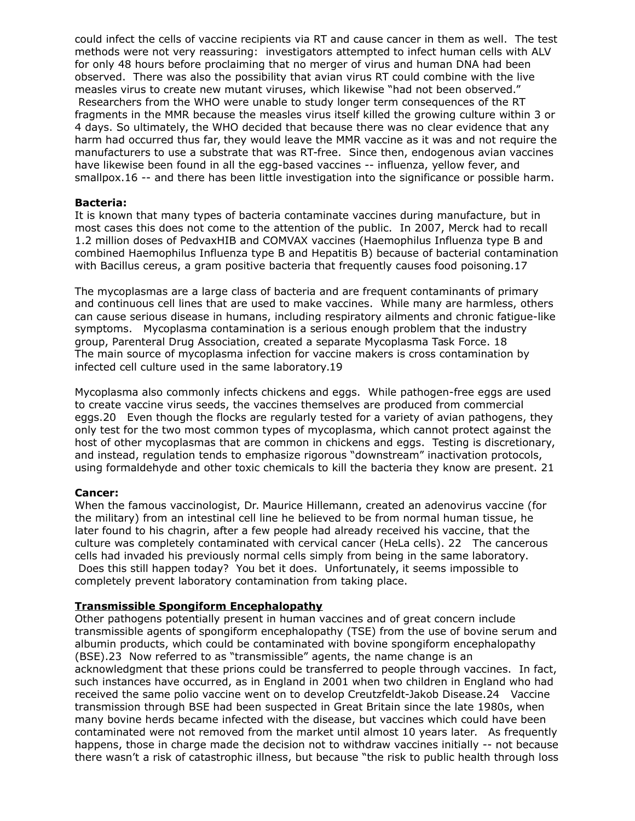could infect the cells of vaccine recipients via RT and cause cancer in them as well. The test methods were not very reassuring: investigators attempted to infect human cells with ALV for only 48 hours before proclaiming that no merger of virus and human DNA had been observed. There was also the possibility that avian virus RT could combine with the live measles virus to create new mutant viruses, which likewise "had not been observed." Researchers from the WHO were unable to study longer term consequences of the RT fragments in the MMR because the measles virus itself killed the growing culture within 3 or 4 days. So ultimately, the WHO decided that because there was no clear evidence that any harm had occurred thus far, they would leave the MMR vaccine as it was and not require the manufacturers to use a substrate that was RT-free. Since then, endogenous avian vaccines have likewise been found in all the egg-based vaccines -- influenza, yellow fever, and smallpox.16 -- and there has been little investigation into the significance or possible harm.

#### **Bacteria:**

It is known that many types of bacteria contaminate vaccines during manufacture, but in most cases this does not come to the attention of the public. In 2007, Merck had to recall 1.2 million doses of PedvaxHIB and COMVAX vaccines (Haemophilus Influenza type B and combined Haemophilus Influenza type B and Hepatitis B) because of bacterial contamination with Bacillus cereus, a gram positive bacteria that frequently causes food poisoning.17

The mycoplasmas are a large class of bacteria and are frequent contaminants of primary and continuous cell lines that are used to make vaccines. While many are harmless, others can cause serious disease in humans, including respiratory ailments and chronic fatigue-like symptoms. Mycoplasma contamination is a serious enough problem that the industry group, Parenteral Drug Association, created a separate Mycoplasma Task Force. 18 The main source of mycoplasma infection for vaccine makers is cross contamination by infected cell culture used in the same laboratory.19

Mycoplasma also commonly infects chickens and eggs. While pathogen-free eggs are used to create vaccine virus seeds, the vaccines themselves are produced from commercial eggs.20 Even though the flocks are regularly tested for a variety of avian pathogens, they only test for the two most common types of mycoplasma, which cannot protect against the host of other mycoplasmas that are common in chickens and eggs. Testing is discretionary, and instead, regulation tends to emphasize rigorous "downstream" inactivation protocols, using formaldehyde and other toxic chemicals to kill the bacteria they know are present. 21

### **Cancer:**

When the famous vaccinologist, Dr. Maurice Hillemann, created an adenovirus vaccine (for the military) from an intestinal cell line he believed to be from normal human tissue, he later found to his chagrin, after a few people had already received his vaccine, that the culture was completely contaminated with cervical cancer (HeLa cells). 22 The cancerous cells had invaded his previously normal cells simply from being in the same laboratory. Does this still happen today? You bet it does. Unfortunately, it seems impossible to completely prevent laboratory contamination from taking place.

### **Transmissible Spongiform Encephalopathy**

Other pathogens potentially present in human vaccines and of great concern include transmissible agents of spongiform encephalopathy (TSE) from the use of bovine serum and albumin products, which could be contaminated with bovine spongiform encephalopathy (BSE).23 Now referred to as "transmissible" agents, the name change is an acknowledgment that these prions could be transferred to people through vaccines. In fact, such instances have occurred, as in England in 2001 when two children in England who had received the same polio vaccine went on to develop Creutzfeldt-Jakob Disease.24 Vaccine transmission through BSE had been suspected in Great Britain since the late 1980s, when many bovine herds became infected with the disease, but vaccines which could have been contaminated were not removed from the market until almost 10 years later. As frequently happens, those in charge made the decision not to withdraw vaccines initially -- not because there wasn't a risk of catastrophic illness, but because "the risk to public health through loss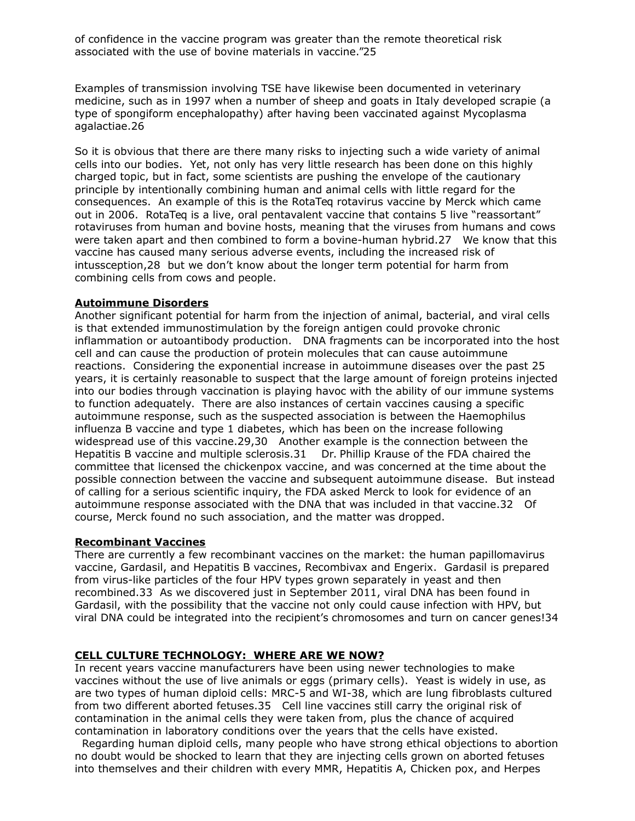of confidence in the vaccine program was greater than the remote theoretical risk associated with the use of bovine materials in vaccine."25

Examples of transmission involving TSE have likewise been documented in veterinary medicine, such as in 1997 when a number of sheep and goats in Italy developed scrapie (a type of spongiform encephalopathy) after having been vaccinated against Mycoplasma agalactiae.26

So it is obvious that there are there many risks to injecting such a wide variety of animal cells into our bodies. Yet, not only has very little research has been done on this highly charged topic, but in fact, some scientists are pushing the envelope of the cautionary principle by intentionally combining human and animal cells with little regard for the consequences. An example of this is the RotaTeq rotavirus vaccine by Merck which came out in 2006. RotaTeq is a live, oral pentavalent vaccine that contains 5 live "reassortant" rotaviruses from human and bovine hosts, meaning that the viruses from humans and cows were taken apart and then combined to form a bovine-human hybrid.27 We know that this vaccine has caused many serious adverse events, including the increased risk of intussception,28 but we don't know about the longer term potential for harm from combining cells from cows and people.

#### **Autoimmune Disorders**

Another significant potential for harm from the injection of animal, bacterial, and viral cells is that extended immunostimulation by the foreign antigen could provoke chronic inflammation or autoantibody production. DNA fragments can be incorporated into the host cell and can cause the production of protein molecules that can cause autoimmune reactions. Considering the exponential increase in autoimmune diseases over the past 25 years, it is certainly reasonable to suspect that the large amount of foreign proteins injected into our bodies through vaccination is playing havoc with the ability of our immune systems to function adequately. There are also instances of certain vaccines causing a specific autoimmune response, such as the suspected association is between the Haemophilus influenza B vaccine and type 1 diabetes, which has been on the increase following widespread use of this vaccine.29,30 Another example is the connection between the Hepatitis B vaccine and multiple sclerosis.31 Dr. Phillip Krause of the FDA chaired the committee that licensed the chickenpox vaccine, and was concerned at the time about the possible connection between the vaccine and subsequent autoimmune disease. But instead of calling for a serious scientific inquiry, the FDA asked Merck to look for evidence of an autoimmune response associated with the DNA that was included in that vaccine.32 Of course, Merck found no such association, and the matter was dropped.

### **Recombinant Vaccines**

There are currently a few recombinant vaccines on the market: the human papillomavirus vaccine, Gardasil, and Hepatitis B vaccines, Recombivax and Engerix. Gardasil is prepared from virus-like particles of the four HPV types grown separately in yeast and then recombined.33 As we discovered just in September 2011, viral DNA has been found in Gardasil, with the possibility that the vaccine not only could cause infection with HPV, but viral DNA could be integrated into the recipient's chromosomes and turn on cancer genes!34

### **CELL CULTURE TECHNOLOGY: WHERE ARE WE NOW?**

In recent years vaccine manufacturers have been using newer technologies to make vaccines without the use of live animals or eggs (primary cells). Yeast is widely in use, as are two types of human diploid cells: MRC-5 and WI-38, which are lung fibroblasts cultured from two different aborted fetuses.35 Cell line vaccines still carry the original risk of contamination in the animal cells they were taken from, plus the chance of acquired contamination in laboratory conditions over the years that the cells have existed.

Regarding human diploid cells, many people who have strong ethical objections to abortion no doubt would be shocked to learn that they are injecting cells grown on aborted fetuses into themselves and their children with every MMR, Hepatitis A, Chicken pox, and Herpes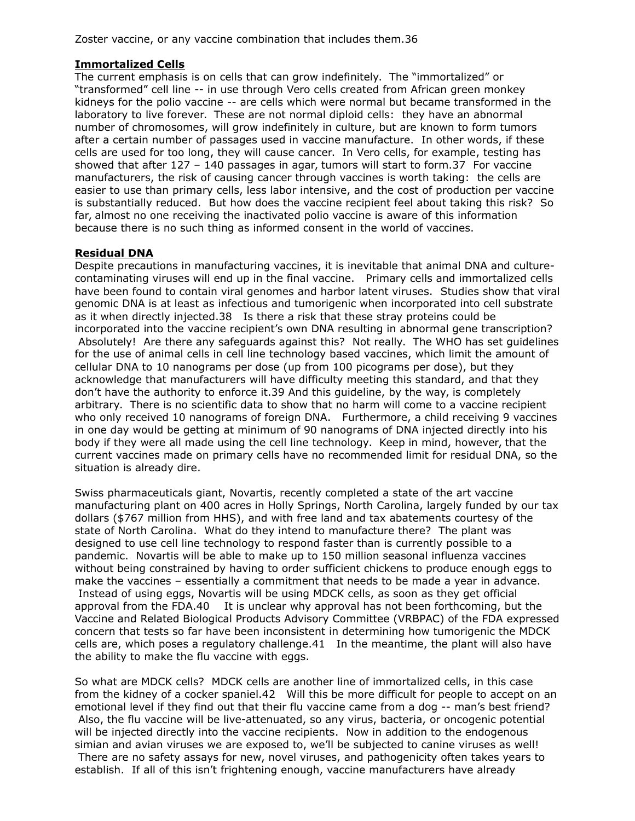Zoster vaccine, or any vaccine combination that includes them.36

## **Immortalized Cells**

The current emphasis is on cells that can grow indefinitely. The "immortalized" or "transformed" cell line -- in use through Vero cells created from African green monkey kidneys for the polio vaccine -- are cells which were normal but became transformed in the laboratory to live forever. These are not normal diploid cells: they have an abnormal number of chromosomes, will grow indefinitely in culture, but are known to form tumors after a certain number of passages used in vaccine manufacture. In other words, if these cells are used for too long, they will cause cancer. In Vero cells, for example, testing has showed that after 127 – 140 passages in agar, tumors will start to form.37 For vaccine manufacturers, the risk of causing cancer through vaccines is worth taking: the cells are easier to use than primary cells, less labor intensive, and the cost of production per vaccine is substantially reduced. But how does the vaccine recipient feel about taking this risk? So far, almost no one receiving the inactivated polio vaccine is aware of this information because there is no such thing as informed consent in the world of vaccines.

# **Residual DNA**

Despite precautions in manufacturing vaccines, it is inevitable that animal DNA and culturecontaminating viruses will end up in the final vaccine. Primary cells and immortalized cells have been found to contain viral genomes and harbor latent viruses. Studies show that viral genomic DNA is at least as infectious and tumorigenic when incorporated into cell substrate as it when directly injected.38 Is there a risk that these stray proteins could be incorporated into the vaccine recipient's own DNA resulting in abnormal gene transcription? Absolutely! Are there any safeguards against this? Not really. The WHO has set guidelines for the use of animal cells in cell line technology based vaccines, which limit the amount of cellular DNA to 10 nanograms per dose (up from 100 picograms per dose), but they acknowledge that manufacturers will have difficulty meeting this standard, and that they don't have the authority to enforce it.39 And this guideline, by the way, is completely arbitrary. There is no scientific data to show that no harm will come to a vaccine recipient who only received 10 nanograms of foreign DNA. Furthermore, a child receiving 9 vaccines in one day would be getting at minimum of 90 nanograms of DNA injected directly into his body if they were all made using the cell line technology. Keep in mind, however, that the current vaccines made on primary cells have no recommended limit for residual DNA, so the situation is already dire.

Swiss pharmaceuticals giant, Novartis, recently completed a state of the art vaccine manufacturing plant on 400 acres in Holly Springs, North Carolina, largely funded by our tax dollars (\$767 million from HHS), and with free land and tax abatements courtesy of the state of North Carolina. What do they intend to manufacture there? The plant was designed to use cell line technology to respond faster than is currently possible to a pandemic. Novartis will be able to make up to 150 million seasonal influenza vaccines without being constrained by having to order sufficient chickens to produce enough eggs to make the vaccines – essentially a commitment that needs to be made a year in advance. Instead of using eggs, Novartis will be using MDCK cells, as soon as they get official approval from the FDA.40 It is unclear why approval has not been forthcoming, but the Vaccine and Related Biological Products Advisory Committee (VRBPAC) of the FDA expressed concern that tests so far have been inconsistent in determining how tumorigenic the MDCK cells are, which poses a regulatory challenge.41 In the meantime, the plant will also have the ability to make the flu vaccine with eggs.

So what are MDCK cells? MDCK cells are another line of immortalized cells, in this case from the kidney of a cocker spaniel.42 Will this be more difficult for people to accept on an emotional level if they find out that their flu vaccine came from a dog -- man's best friend? Also, the flu vaccine will be live-attenuated, so any virus, bacteria, or oncogenic potential will be injected directly into the vaccine recipients. Now in addition to the endogenous simian and avian viruses we are exposed to, we'll be subjected to canine viruses as well! There are no safety assays for new, novel viruses, and pathogenicity often takes years to establish. If all of this isn't frightening enough, vaccine manufacturers have already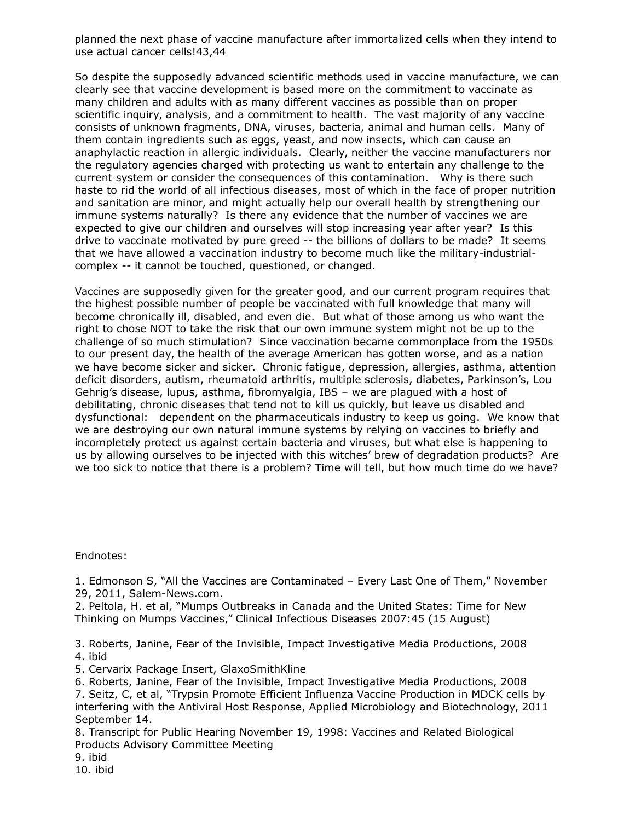planned the next phase of vaccine manufacture after immortalized cells when they intend to use actual cancer cells!43,44

So despite the supposedly advanced scientific methods used in vaccine manufacture, we can clearly see that vaccine development is based more on the commitment to vaccinate as many children and adults with as many different vaccines as possible than on proper scientific inquiry, analysis, and a commitment to health. The vast majority of any vaccine consists of unknown fragments, DNA, viruses, bacteria, animal and human cells. Many of them contain ingredients such as eggs, yeast, and now insects, which can cause an anaphylactic reaction in allergic individuals. Clearly, neither the vaccine manufacturers nor the regulatory agencies charged with protecting us want to entertain any challenge to the current system or consider the consequences of this contamination. Why is there such haste to rid the world of all infectious diseases, most of which in the face of proper nutrition and sanitation are minor, and might actually help our overall health by strengthening our immune systems naturally? Is there any evidence that the number of vaccines we are expected to give our children and ourselves will stop increasing year after year? Is this drive to vaccinate motivated by pure greed -- the billions of dollars to be made? It seems that we have allowed a vaccination industry to become much like the military-industrialcomplex -- it cannot be touched, questioned, or changed.

Vaccines are supposedly given for the greater good, and our current program requires that the highest possible number of people be vaccinated with full knowledge that many will become chronically ill, disabled, and even die. But what of those among us who want the right to chose NOT to take the risk that our own immune system might not be up to the challenge of so much stimulation? Since vaccination became commonplace from the 1950s to our present day, the health of the average American has gotten worse, and as a nation we have become sicker and sicker. Chronic fatigue, depression, allergies, asthma, attention deficit disorders, autism, rheumatoid arthritis, multiple sclerosis, diabetes, Parkinson's, Lou Gehrig's disease, lupus, asthma, fibromyalgia, IBS – we are plagued with a host of debilitating, chronic diseases that tend not to kill us quickly, but leave us disabled and dysfunctional: dependent on the pharmaceuticals industry to keep us going. We know that we are destroying our own natural immune systems by relying on vaccines to briefly and incompletely protect us against certain bacteria and viruses, but what else is happening to us by allowing ourselves to be injected with this witches' brew of degradation products? Are we too sick to notice that there is a problem? Time will tell, but how much time do we have?

#### Endnotes:

1. Edmonson S, "All the Vaccines are Contaminated – Every Last One of Them," November 29, 2011, Salem-News.com.

2. Peltola, H. et al, "Mumps Outbreaks in Canada and the United States: Time for New Thinking on Mumps Vaccines," Clinical Infectious Diseases 2007:45 (15 August)

3. Roberts, Janine, Fear of the Invisible, Impact Investigative Media Productions, 2008 4. ibid

5. Cervarix Package Insert, GlaxoSmithKline

6. Roberts, Janine, Fear of the Invisible, Impact Investigative Media Productions, 2008

8. Transcript for Public Hearing November 19, 1998: Vaccines and Related Biological Products Advisory Committee Meeting

- 9. ibid
- 10. ibid

<sup>7.</sup> Seitz, C, et al, "Trypsin Promote Efficient Influenza Vaccine Production in MDCK cells by interfering with the Antiviral Host Response, Applied Microbiology and Biotechnology, 2011 September 14.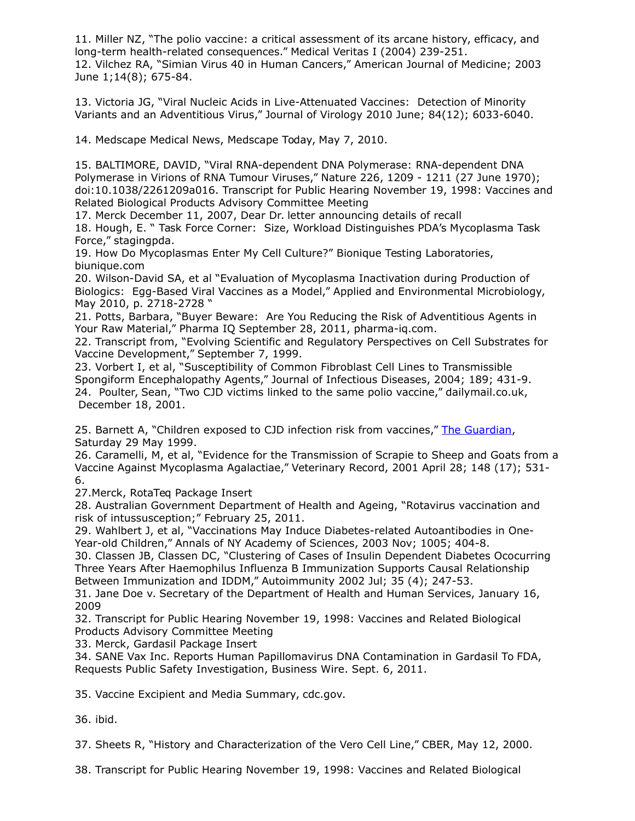11. Miller NZ, "The polio vaccine: a critical assessment of its arcane history, efficacy, and long-term health-related consequences." Medical Veritas I (2004) 239-251. 12. Vilchez RA, "Simian Virus 40 in Human Cancers," American Journal of Medicine; 2003 June 1;14(8); 675-84.

13. Victoria JG, "Viral Nucleic Acids in Live-Attenuated Vaccines: Detection of Minority Variants and an Adventitious Virus," Journal of Virology 2010 June; 84(12); 6033-6040.

14. Medscape Medical News, Medscape Today, May 7, 2010.

15. BALTIMORE, DAVID, "Viral RNA-dependent DNA Polymerase: RNA-dependent DNA Polymerase in Virions of RNA Tumour Viruses," Nature 226, 1209 - 1211 (27 June 1970); doi:10.1038/2261209a016. Transcript for Public Hearing November 19, 1998: Vaccines and Related Biological Products Advisory Committee Meeting

17. Merck December 11, 2007, Dear Dr. letter announcing details of recall 18. Hough, E. " Task Force Corner: Size, Workload Distinguishes PDA's Mycoplasma Task Force," stagingpda.

19. How Do Mycoplasmas Enter My Cell Culture?" Bionique Testing Laboratories, biunique.com

20. Wilson-David SA, et al "Evaluation of Mycoplasma Inactivation during Production of Biologics: Egg-Based Viral Vaccines as a Model," Applied and Environmental Microbiology, May 2010, p. 2718-2728 "

21. Potts, Barbara, "Buyer Beware: Are You Reducing the Risk of Adventitious Agents in Your Raw Material," Pharma IQ September 28, 2011, pharma-iq.com.

22. Transcript from, "Evolving Scientific and Regulatory Perspectives on Cell Substrates for Vaccine Development," September 7, 1999.

23. Vorbert I, et al, "Susceptibility of Common Fibroblast Cell Lines to Transmissible Spongiform Encephalopathy Agents," Journal of Infectious Diseases, 2004; 189; 431-9. 24. Poulter, Sean, "Two CJD victims linked to the same polio vaccine," dailymail.co.uk, December 18, 2001.

25. Barnett A, "Children exposed to CJD infection risk from vaccines," [The Guardian,](http://observer.guardian.co.uk/) Saturday 29 May 1999.

26. Caramelli, M, et al, "Evidence for the Transmission of Scrapie to Sheep and Goats from a Vaccine Against Mycoplasma Agalactiae," Veterinary Record, 2001 April 28; 148 (17); 531- 6.

27.Merck, RotaTeq Package Insert

28. Australian Government Department of Health and Ageing, "Rotavirus vaccination and risk of intussusception;" February 25, 2011.

29. Wahlbert J, et al, "Vaccinations May Induce Diabetes-related Autoantibodies in One-Year-old Children," Annals of NY Academy of Sciences, 2003 Nov; 1005; 404-8.

30. Classen JB, Classen DC, "Clustering of Cases of Insulin Dependent Diabetes Ococurring Three Years After Haemophilus Influenza B Immunization Supports Causal Relationship Between Immunization and IDDM," Autoimmunity 2002 Jul; 35 (4); 247-53.

31. Jane Doe v. Secretary of the Department of Health and Human Services, January 16, 2009

32. Transcript for Public Hearing November 19, 1998: Vaccines and Related Biological Products Advisory Committee Meeting

33. Merck, Gardasil Package Insert

34. SANE Vax Inc. Reports Human Papillomavirus DNA Contamination in Gardasil To FDA, Requests Public Safety Investigation, Business Wire. Sept. 6, 2011.

35. Vaccine Excipient and Media Summary, cdc.gov.

36. ibid.

37. Sheets R, "History and Characterization of the Vero Cell Line," CBER, May 12, 2000.

38. Transcript for Public Hearing November 19, 1998: Vaccines and Related Biological